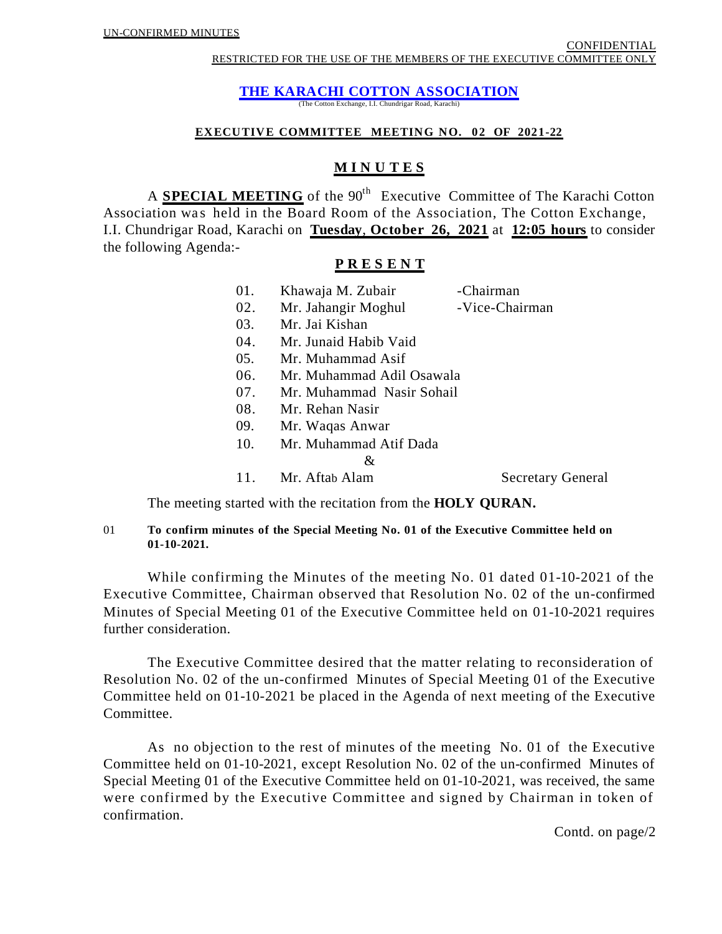RESTRICTED FOR THE USE OF THE MEMBERS OF THE EXECUTIVE COMMITTEE ONLY

# **THE KARACHI COTTON ASSOCIATION**

(The Cotton Exchange, I.I. Chundrigar Road, Karachi)

### **EXECUTIVE COMMITTEE MEETING NO. 02 OF 2021-22**

# **M I N U T E S**

A **SPECIAL MEETING** of the 90<sup>th</sup> Executive Committee of The Karachi Cotton Association was held in the Board Room of the Association, The Cotton Exchange, I.I. Chundrigar Road, Karachi on **Tuesday**, **October 26, 2021** at **12:05 hours** to consider the following Agenda:-

### **P R E S E N T**

| 01. | Khawaja M. Zubair         | -Chairman                |  |
|-----|---------------------------|--------------------------|--|
| 02. | Mr. Jahangir Moghul       | -Vice-Chairman           |  |
| 03. | Mr. Jai Kishan            |                          |  |
| 04. | Mr. Junaid Habib Vaid     |                          |  |
| 05. | Mr. Muhammad Asif         |                          |  |
| 06. | Mr. Muhammad Adil Osawala |                          |  |
| 07. | Mr. Muhammad Nasir Sohail |                          |  |
| 08. | Mr. Rehan Nasir           |                          |  |
| 09. | Mr. Waqas Anwar           |                          |  |
| 10. | Mr. Muhammad Atif Dada    |                          |  |
|     | &                         |                          |  |
| 11. | Mr. Aftab Alam            | <b>Secretary General</b> |  |
|     |                           |                          |  |

The meeting started with the recitation from the **HOLY QURAN.**

### 01 **To confirm minutes of the Special Meeting No. 01 of the Executive Committee held on 01-10-2021.**

While confirming the Minutes of the meeting No. 01 dated 01-10-2021 of the Executive Committee, Chairman observed that Resolution No. 02 of the un-confirmed Minutes of Special Meeting 01 of the Executive Committee held on 01-10-2021 requires further consideration.

The Executive Committee desired that the matter relating to reconsideration of Resolution No. 02 of the un-confirmed Minutes of Special Meeting 01 of the Executive Committee held on 01-10-2021 be placed in the Agenda of next meeting of the Executive Committee.

As no objection to the rest of minutes of the meeting No. 01 of the Executive Committee held on 01-10-2021, except Resolution No. 02 of the un-confirmed Minutes of Special Meeting 01 of the Executive Committee held on 01-10-2021, was received, the same were confirmed by the Executive Committee and signed by Chairman in token of confirmation.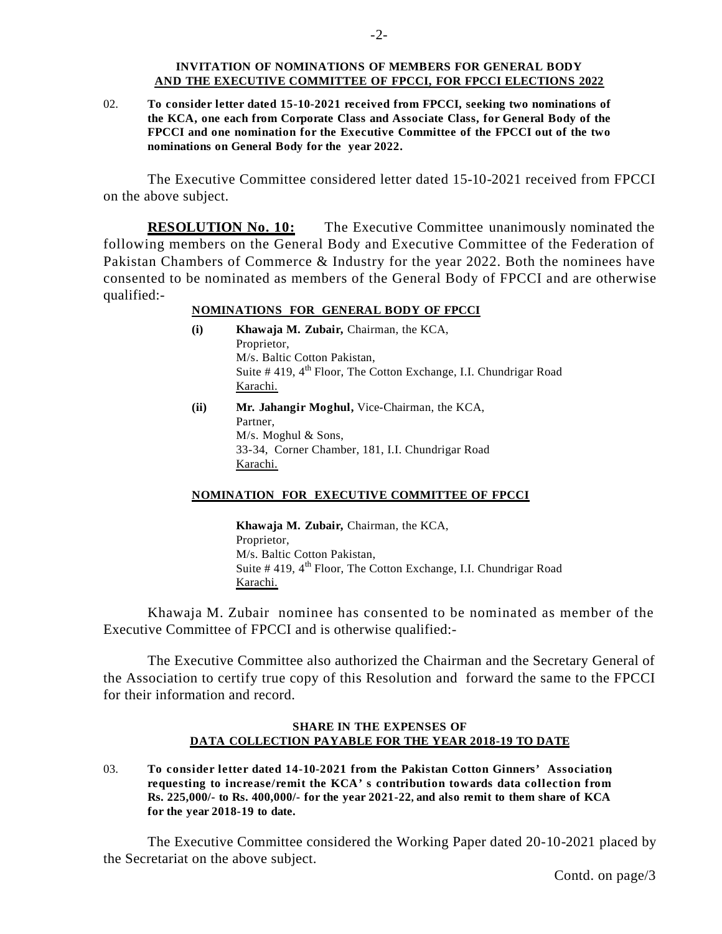#### **INVITATION OF NOMINATIONS OF MEMBERS FOR GENERAL BODY AND THE EXECUTIVE COMMITTEE OF FPCCI, FOR FPCCI ELECTIONS 2022**

02. **To consider letter dated 15-10-2021 received from FPCCI, seeking two nominations of the KCA, one each from Corporate Class and Associate Class, for General Body of the FPCCI and one nomination for the Executive Committee of the FPCCI out of the two nominations on General Body for the year 2022.** 

The Executive Committee considered letter dated 15-10-2021 received from FPCCI on the above subject.

**RESOLUTION No. 10:** The Executive Committee unanimously nominated the following members on the General Body and Executive Committee of the Federation of Pakistan Chambers of Commerce & Industry for the year 2022. Both the nominees have consented to be nominated as members of the General Body of FPCCI and are otherwise qualified:-

### **NOMINATIONS FOR GENERAL BODY OF FPCCI**

- **(i) Khawaja M. Zubair,** Chairman, the KCA, Proprietor, M/s. Baltic Cotton Pakistan, Suite  $\#$  419, 4<sup>th</sup> Floor, The Cotton Exchange, I.I. Chundrigar Road Karachi.
- **(ii) Mr. Jahangir Moghul,** Vice-Chairman, the KCA, Partner, M/s. Moghul & Sons, 33-34, Corner Chamber, 181, I.I. Chundrigar Road Karachi.

#### **NOMINATION FOR EXECUTIVE COMMITTEE OF FPCCI**

**Khawaja M. Zubair,** Chairman, the KCA, Proprietor, M/s. Baltic Cotton Pakistan, Suite  $\#$  419, 4<sup>th</sup> Floor, The Cotton Exchange, I.I. Chundrigar Road Karachi.

Khawaja M. Zubair nominee has consented to be nominated as member of the Executive Committee of FPCCI and is otherwise qualified:-

The Executive Committee also authorized the Chairman and the Secretary General of the Association to certify true copy of this Resolution and forward the same to the FPCCI for their information and record.

#### **SHARE IN THE EXPENSES OF DATA COLLECTION PAYABLE FOR THE YEAR 2018-19 TO DATE**

03. **To consider letter dated 14-10-2021 from the Pakistan Cotton Ginners' Association, requesting to increase/remit the KCA's contribution towards data collection from Rs. 225,000/- to Rs. 400,000/- for the year 2021-22, and also remit to them share of KCA for the year 2018-19 to date.**

The Executive Committee considered the Working Paper dated 20-10-2021 placed by the Secretariat on the above subject.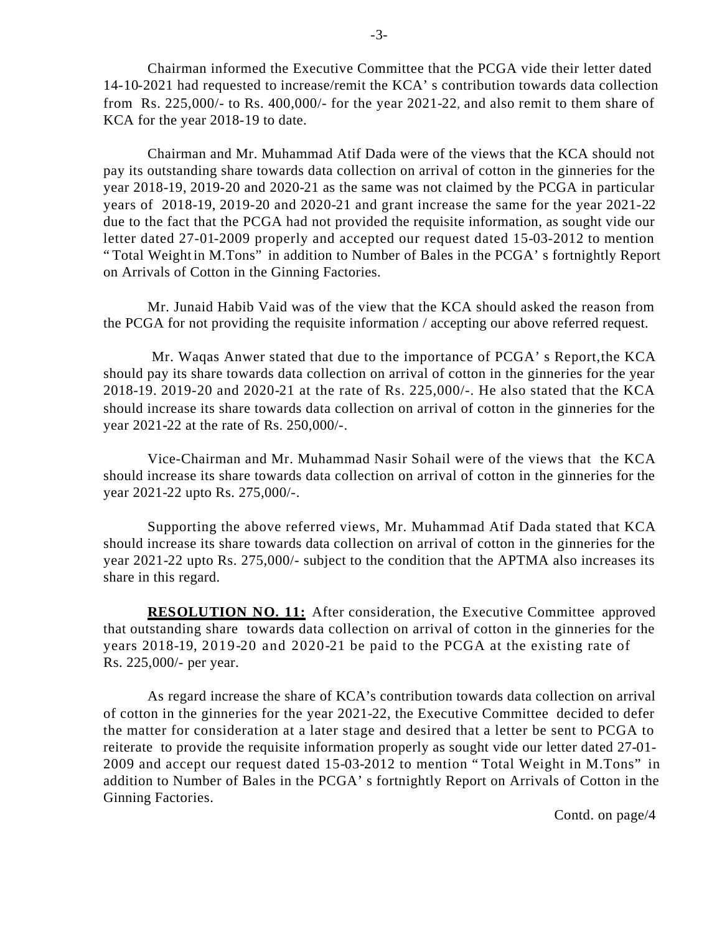Chairman informed the Executive Committee that the PCGA vide their letter dated 14-10-2021 had requested to increase/remit the KCA's contribution towards data collection from Rs. 225,000/- to Rs. 400,000/- for the year 2021-22, and also remit to them share of KCA for the year 2018-19 to date.

Chairman and Mr. Muhammad Atif Dada were of the views that the KCA should not pay its outstanding share towards data collection on arrival of cotton in the ginneries for the year 2018-19, 2019-20 and 2020-21 as the same was not claimed by the PCGA in particular years of 2018-19, 2019-20 and 2020-21 and grant increase the same for the year 2021-22 due to the fact that the PCGA had not provided the requisite information, as sought vide our letter dated 27-01-2009 properly and accepted our request dated 15-03-2012 to mention "Total Weight in M.Tons" in addition to Number of Bales in the PCGA's fortnightly Report on Arrivals of Cotton in the Ginning Factories.

Mr. Junaid Habib Vaid was of the view that the KCA should asked the reason from the PCGA for not providing the requisite information / accepting our above referred request.

 Mr. Waqas Anwer stated that due to the importance of PCGA's Report, the KCA should pay its share towards data collection on arrival of cotton in the ginneries for the year 2018-19. 2019-20 and 2020-21 at the rate of Rs. 225,000/-. He also stated that the KCA should increase its share towards data collection on arrival of cotton in the ginneries for the year 2021-22 at the rate of Rs. 250,000/-.

Vice-Chairman and Mr. Muhammad Nasir Sohail were of the views that the KCA should increase its share towards data collection on arrival of cotton in the ginneries for the year 2021-22 upto Rs. 275,000/-.

Supporting the above referred views, Mr. Muhammad Atif Dada stated that KCA should increase its share towards data collection on arrival of cotton in the ginneries for the year 2021-22 upto Rs. 275,000/- subject to the condition that the APTMA also increases its share in this regard.

**RESOLUTION NO. 11:** After consideration, the Executive Committee approved that outstanding share towards data collection on arrival of cotton in the ginneries for the years 2018-19, 2019-20 and 2020-21 be paid to the PCGA at the existing rate of Rs. 225,000/- per year.

As regard increase the share of KCA's contribution towards data collection on arrival of cotton in the ginneries for the year 2021-22, the Executive Committee decided to defer the matter for consideration at a later stage and desired that a letter be sent to PCGA to reiterate to provide the requisite information properly as sought vide our letter dated 27-01- 2009 and accept our request dated 15-03-2012 to mention "Total Weight in M.Tons" in addition to Number of Bales in the PCGA's fortnightly Report on Arrivals of Cotton in the Ginning Factories.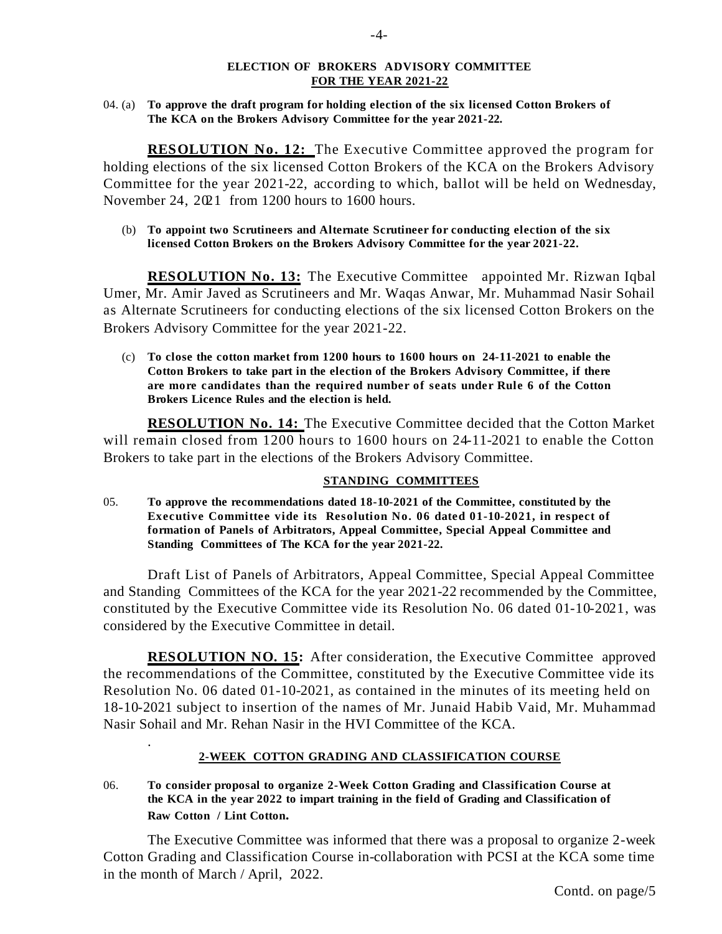### **ELECTION OF BROKERS ADVISORY COMMITTEE FOR THE YEAR 2021-22**

04. (a) **To approve the draft program for holding election of the six licensed Cotton Brokers of The KCA on the Brokers Advisory Committee for the year 2021-22.**

**RESOLUTION No. 12:** The Executive Committee approved the program for holding elections of the six licensed Cotton Brokers of the KCA on the Brokers Advisory Committee for the year 2021-22, according to which, ballot will be held on Wednesday, November 24,  $2021$  from 1200 hours to 1600 hours.

 (b) **To appoint two Scrutineers and Alternate Scrutineer for conducting election of the six licensed Cotton Brokers on the Brokers Advisory Committee for the year 2021-22.**

**RESOLUTION No. 13:** The Executive Committee appointed Mr. Rizwan Iqbal Umer, Mr. Amir Javed as Scrutineers and Mr. Waqas Anwar, Mr. Muhammad Nasir Sohail as Alternate Scrutineers for conducting elections of the six licensed Cotton Brokers on the Brokers Advisory Committee for the year 2021-22.

 (c) **To close the cotton market from 1200 hours to 1600 hours on 24-11-2021 to enable the Cotton Brokers to take part in the election of the Brokers Advisory Committee, if there are more candidates than the required number of seats under Rule 6 of the Cotton Brokers Licence Rules and the election is held.**

**RESOLUTION No. 14:** The Executive Committee decided that the Cotton Market will remain closed from 1200 hours to 1600 hours on 24-11-2021 to enable the Cotton Brokers to take part in the elections of the Brokers Advisory Committee.

### **STANDING COMMITTEES**

05. **To approve the recommendations dated 18-10-2021 of the Committee, constituted by the Executive Committee vide its Resolution No. 06 dated 01-10-2021, in respect of formation of Panels of Arbitrators, Appeal Committee, Special Appeal Committee and Standing Committees of The KCA for the year 2021-22.**

Draft List of Panels of Arbitrators, Appeal Committee, Special Appeal Committee and Standing Committees of the KCA for the year 2021-22 recommended by the Committee, constituted by the Executive Committee vide its Resolution No. 06 dated 01-10-2021, was considered by the Executive Committee in detail.

**RESOLUTION NO. 15:** After consideration, the Executive Committee approved the recommendations of the Committee, constituted by the Executive Committee vide its Resolution No. 06 dated 01-10-2021, as contained in the minutes of its meeting held on 18-10-2021 subject to insertion of the names of Mr. Junaid Habib Vaid, Mr. Muhammad Nasir Sohail and Mr. Rehan Nasir in the HVI Committee of the KCA.

# **2-WEEK COTTON GRADING AND CLASSIFICATION COURSE**

06. **To consider proposal to organize 2-Week Cotton Grading and Classification Course at the KCA in the year 2022 to impart training in the field of Grading and Classification of Raw Cotton / Lint Cotton.** 

.

The Executive Committee was informed that there was a proposal to organize 2-week Cotton Grading and Classification Course in-collaboration with PCSI at the KCA some time in the month of March / April, 2022.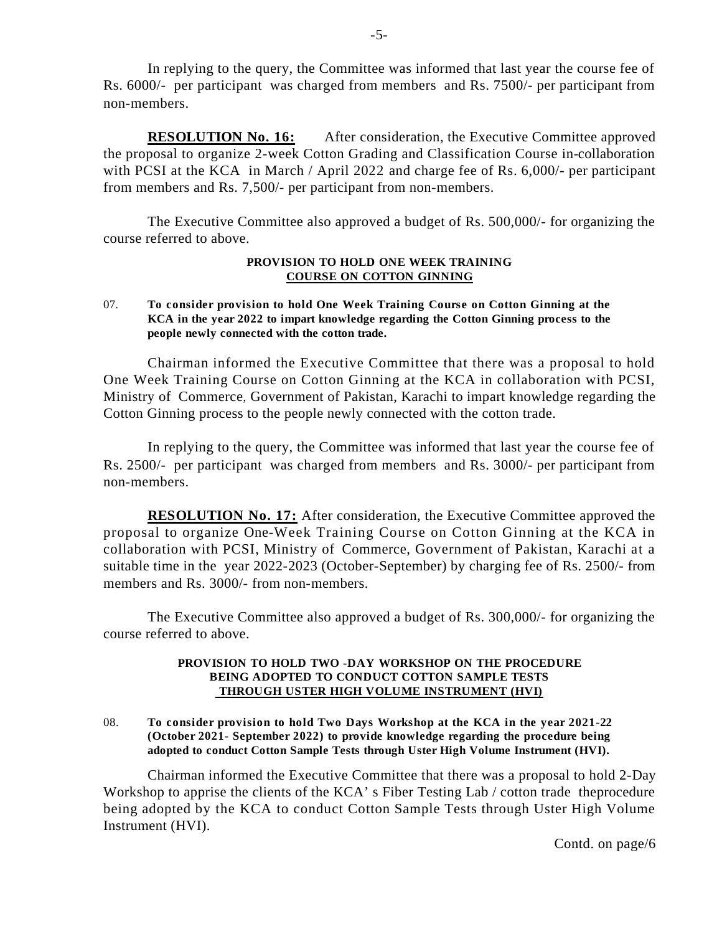In replying to the query, the Committee was informed that last year the course fee of Rs. 6000/- per participant was charged from members and Rs. 7500/- per participant from non-members.

**RESOLUTION No. 16:** After consideration, the Executive Committee approved the proposal to organize 2-week Cotton Grading and Classification Course in-collaboration with PCSI at the KCA in March / April 2022 and charge fee of Rs. 6,000/- per participant from members and Rs. 7,500/- per participant from non-members.

The Executive Committee also approved a budget of Rs. 500,000/- for organizing the course referred to above.

### **PROVISION TO HOLD ONE WEEK TRAINING COURSE ON COTTON GINNING**

07. **To consider provision to hold One Week Training Course on Cotton Ginning at the KCA in the year 2022 to impart knowledge regarding the Cotton Ginning process to the people newly connected with the cotton trade.**

Chairman informed the Executive Committee that there was a proposal to hold One Week Training Course on Cotton Ginning at the KCA in collaboration with PCSI, Ministry of Commerce, Government of Pakistan, Karachi to impart knowledge regarding the Cotton Ginning process to the people newly connected with the cotton trade.

In replying to the query, the Committee was informed that last year the course fee of Rs. 2500/- per participant was charged from members and Rs. 3000/- per participant from non-members.

**RESOLUTION No. 17:** After consideration, the Executive Committee approved the proposal to organize One-Week Training Course on Cotton Ginning at the KCA in collaboration with PCSI, Ministry of Commerce, Government of Pakistan, Karachi at a suitable time in the year 2022-2023 (October-September) by charging fee of Rs. 2500/- from members and Rs. 3000/- from non-members.

The Executive Committee also approved a budget of Rs. 300,000/- for organizing the course referred to above.

### **PROVISION TO HOLD TWO -DAY WORKSHOP ON THE PROCEDURE BEING ADOPTED TO CONDUCT COTTON SAMPLE TESTS THROUGH USTER HIGH VOLUME INSTRUMENT (HVI)**

08. **To consider provision to hold Two Days Workshop at the KCA in the year 2021-22 (October 2021- September 2022) to provide knowledge regarding the procedure being adopted to conduct Cotton Sample Tests through Uster High Volume Instrument (HVI).**

Chairman informed the Executive Committee that there was a proposal to hold 2-Day Workshop to apprise the clients of the KCA's Fiber Testing Lab / cotton trade the procedure being adopted by the KCA to conduct Cotton Sample Tests through Uster High Volume Instrument (HVI).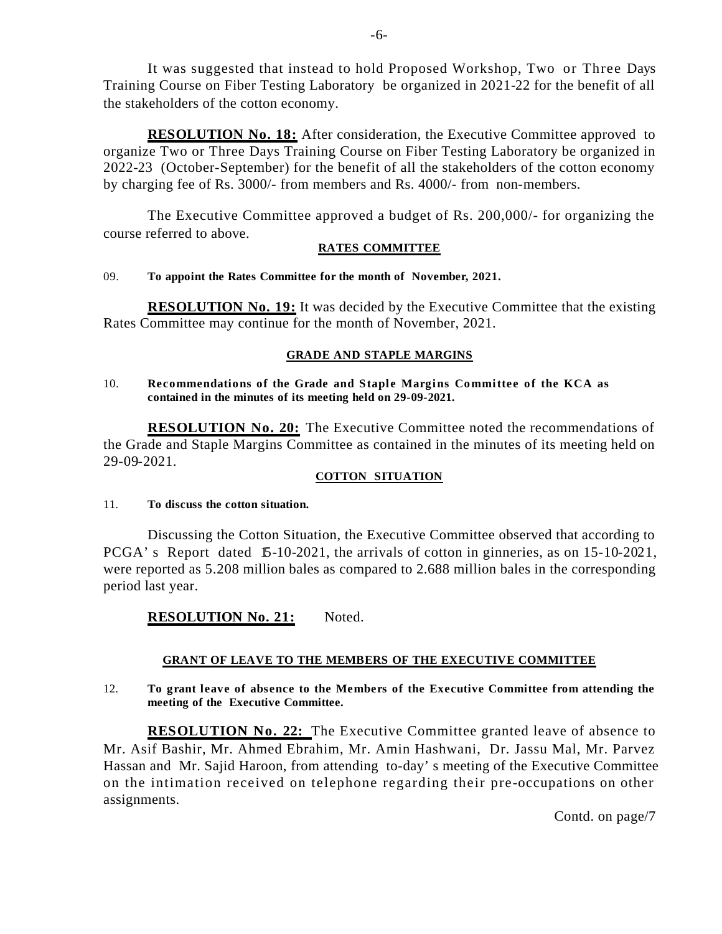It was suggested that instead to hold Proposed Workshop, Two or Three Days Training Course on Fiber Testing Laboratory be organized in 2021-22 for the benefit of all the stakeholders of the cotton economy.

**RESOLUTION No. 18:** After consideration, the Executive Committee approved to organize Two or Three Days Training Course on Fiber Testing Laboratory be organized in 2022-23 (October-September) for the benefit of all the stakeholders of the cotton economy by charging fee of Rs. 3000/- from members and Rs. 4000/- from non-members.

The Executive Committee approved a budget of Rs. 200,000/- for organizing the course referred to above.

## **RATES COMMITTEE**

## 09. **To appoint the Rates Committee for the month of November, 2021.**

**RESOLUTION No. 19:** It was decided by the Executive Committee that the existing Rates Committee may continue for the month of November, 2021.

## **GRADE AND STAPLE MARGINS**

### 10. **Recommendations of the Grade and Staple Margins Committee of the KCA as contained in the minutes of its meeting held on 29-09-2021.**

**RESOLUTION No. 20:** The Executive Committee noted the recommendations of the Grade and Staple Margins Committee as contained in the minutes of its meeting held on 29-09-2021.

# **COTTON SITUATION**

### 11. **To discuss the cotton situation.**

Discussing the Cotton Situation, the Executive Committee observed that according to PCGA's Report dated 15-10-2021, the arrivals of cotton in ginneries, as on 15-10-2021, were reported as 5.208 million bales as compared to 2.688 million bales in the corresponding period last year.

# **RESOLUTION No. 21:** Noted.

# **GRANT OF LEAVE TO THE MEMBERS OF THE EXECUTIVE COMMITTEE**

### 12. **To grant leave of absence to the Members of the Executive Committee from attending the meeting of the Executive Committee.**

**RESOLUTION No. 22:** The Executive Committee granted leave of absence to Mr. Asif Bashir, Mr. Ahmed Ebrahim, Mr. Amin Hashwani, Dr. Jassu Mal, Mr. Parvez Hassan and Mr. Sajid Haroon, from attending to-day's meeting of the Executive Committee on the intimation received on telephone regarding their pre-occupations on other assignments.